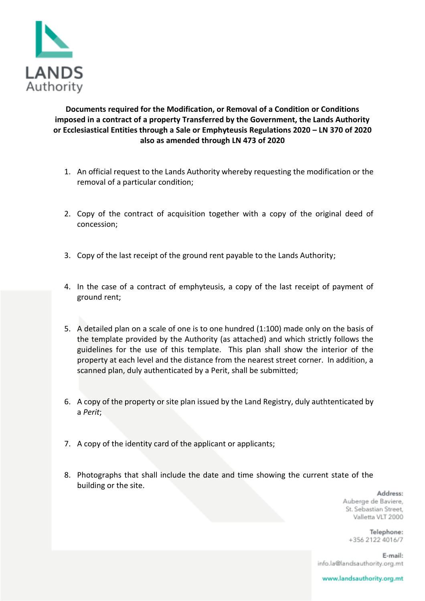

**Documents required for the Modification, or Removal of a Condition or Conditions imposed in a contract of a property Transferred by the Government, the Lands Authority or Ecclesiastical Entities through a Sale or Emphyteusis Regulations 2020 – LN 370 of 2020 also as amended through LN 473 of 2020**

- 1. An official request to the Lands Authority whereby requesting the modification or the removal of a particular condition;
- 2. Copy of the contract of acquisition together with a copy of the original deed of concession;
- 3. Copy of the last receipt of the ground rent payable to the Lands Authority;
- 4. In the case of a contract of emphyteusis, a copy of the last receipt of payment of ground rent;
- 5. A detailed plan on a scale of one is to one hundred (1:100) made only on the basis of the template provided by the Authority (as attached) and which strictly follows the guidelines for the use of this template. This plan shall show the interior of the property at each level and the distance from the nearest street corner. In addition, a scanned plan, duly authenticated by a Perit, shall be submitted;
- 6. A copy of the property or site plan issued by the Land Registry, duly authtenticated by a *Perit*;
- 7. A copy of the identity card of the applicant or applicants;
- 8. Photographs that shall include the date and time showing the current state of the building or the site.

Address: Auberge de Baviere, St. Sebastian Street. Valletta VLT 2000

> Telephone: +356 2122 4016/7

E-mail: info.la@landsauthority.org.mt

www.landsauthority.org.mt